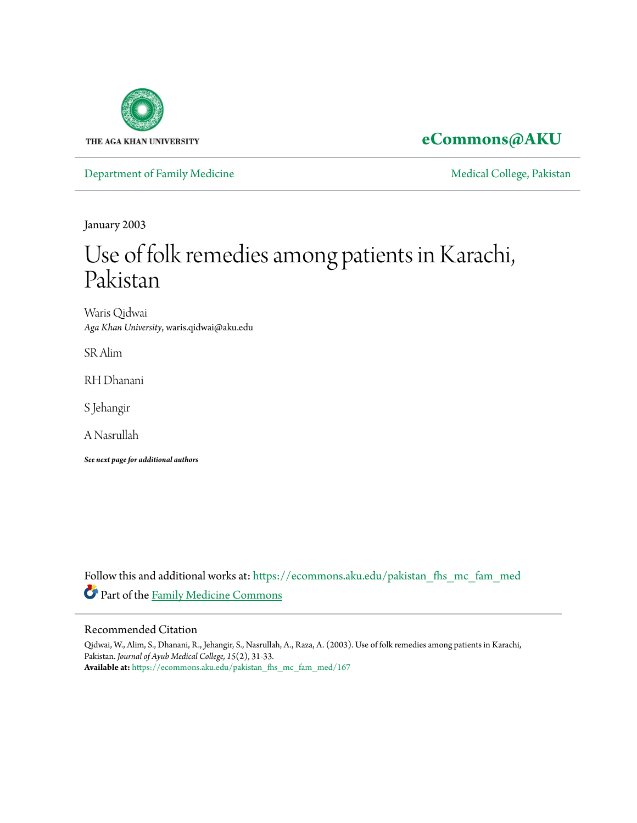

# **[eCommons@AKU](https://ecommons.aku.edu?utm_source=ecommons.aku.edu%2Fpakistan_fhs_mc_fam_med%2F167&utm_medium=PDF&utm_campaign=PDFCoverPages)**

[Department of Family Medicine](https://ecommons.aku.edu/pakistan_fhs_mc_fam_med?utm_source=ecommons.aku.edu%2Fpakistan_fhs_mc_fam_med%2F167&utm_medium=PDF&utm_campaign=PDFCoverPages) and [Medical College, Pakistan](https://ecommons.aku.edu/pakistan_fhs_mc?utm_source=ecommons.aku.edu%2Fpakistan_fhs_mc_fam_med%2F167&utm_medium=PDF&utm_campaign=PDFCoverPages)

January 2003

# Use of folk remedies among patients in Karachi, Pakistan

Waris Qidwai *Aga Khan University*, waris.qidwai@aku.edu

SR Alim

RH Dhanani

S Jehangir

A Nasrullah

*See next page for additional authors*

Follow this and additional works at: [https://ecommons.aku.edu/pakistan\\_fhs\\_mc\\_fam\\_med](https://ecommons.aku.edu/pakistan_fhs_mc_fam_med?utm_source=ecommons.aku.edu%2Fpakistan_fhs_mc_fam_med%2F167&utm_medium=PDF&utm_campaign=PDFCoverPages) Part of the [Family Medicine Commons](http://network.bepress.com/hgg/discipline/1354?utm_source=ecommons.aku.edu%2Fpakistan_fhs_mc_fam_med%2F167&utm_medium=PDF&utm_campaign=PDFCoverPages)

### Recommended Citation

Qidwai, W., Alim, S., Dhanani, R., Jehangir, S., Nasrullah, A., Raza, A. (2003). Use of folk remedies among patients in Karachi, Pakistan. *Journal of Ayub Medical College, 15*(2), 31-33. **Available at:** [https://ecommons.aku.edu/pakistan\\_fhs\\_mc\\_fam\\_med/167](https://ecommons.aku.edu/pakistan_fhs_mc_fam_med/167)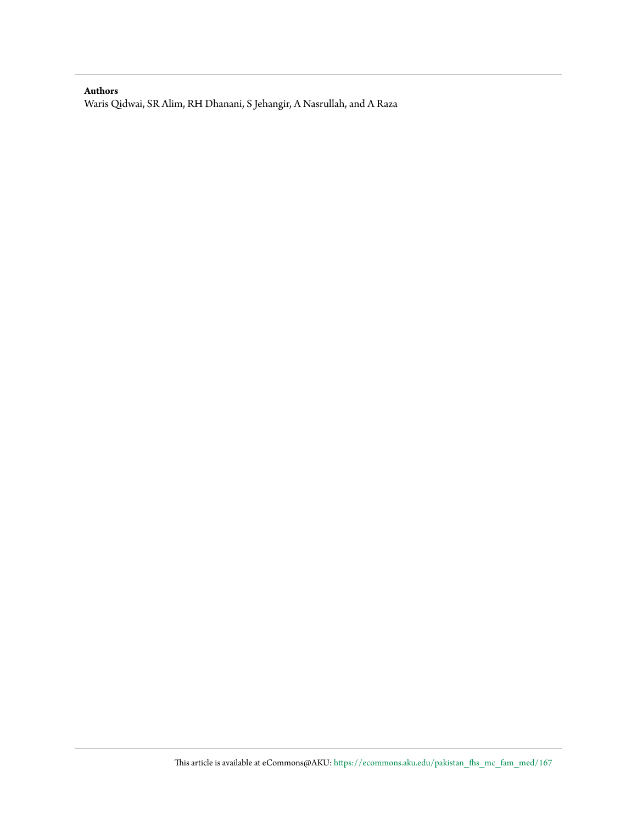#### **Authors**

Waris Qidwai, SR Alim, RH Dhanani, S Jehangir, A Nasrullah, and A Raza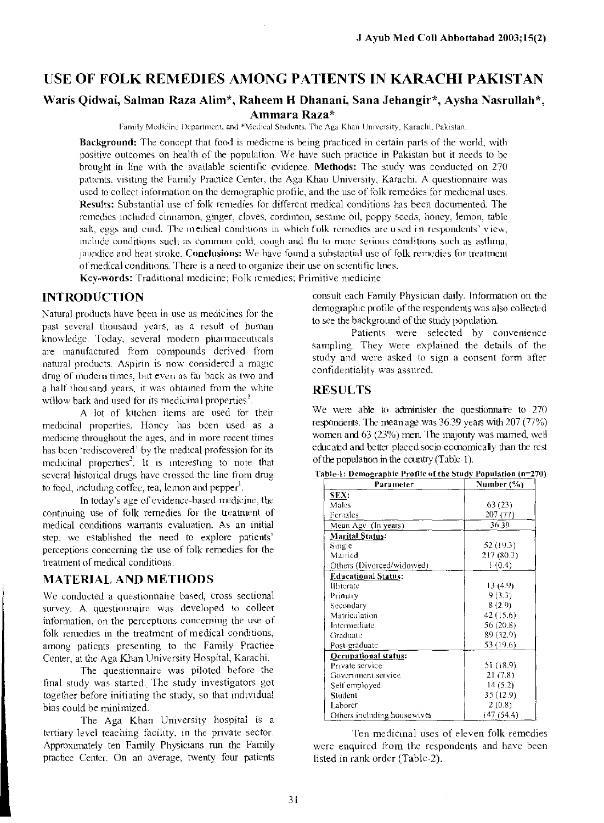## USE OF FOLK REMEDIES AMONG PATIENTS IN KARACHI PAKISTAN

#### Waris Qidwai, Salman Raza Alim\*, Raheem H Dhanani, Sana Jehangir\*, Aysha Nasrullah\*, Am mara Raza\*

Family Medicine Department, and \*Medical Students, The Aga Khan University, Karachi. Pakistan.

**Background:** The concept that food is medicine is being practiced in certain parts of the world, with positive outcomes on health of the population. We have such practice in Pakistan but it needs to be brought in line with the available scientific evidence. Methods: The study was conducted on 270 patients, visitmg the Family Practice Center, the Aga Khan University, Karachi. A questionnaire was used to collect information on the demographic profile, and the use of folk remedies for medicinal uses. Results: Substantial use of folk remedies for different medical conditions has been documented. The remedies included cinnamon, ginger, cloves, cordimon, sesame oil, poppy seeds, honey, lemon, table salt, eggs and curd. The medical conditions in which folk remedies are used in respondents' view. include conditions such as common cold, cough and flu to more serious conditions such as asthma, jaundice and heat stroke. Conclusions: We have found a substantial use of folk remedies for treatment of medical conditions. There is a need to organize their use on scientific lines.

Key-words: Traditional medicine; Folk remedies; Primitive medicine

#### INTRODUCTION

Natural products have been in usc as medicines for the past several thousand years, as a result of human knowledge. Today, several modern pharmaceuticals are manufactured from compounds derived from natural products. Aspirin is now considered a magic drug of modem times, but even as far back as two and a half thousand years, it was obtained from the white willow bark and used for its medicinal properties<sup>1</sup>.

A lot of kitchen items are used for their medicinal propetties. Honey has been used as a medicine throughout the ages, and in more recent times has been 'rediscovered' by the medical profession for its medicinal properties<sup>2</sup>. It is interesting to note that several historical drugs have crossed the line from drug to food, including coffee, tea, lemon and pepper $^{\text{!}}$ .

In today's age of evidence-based medicine, the continuing use of folk remedies for *the* treatment of medical conditions wanants evaluation. As an initial step, we established the need to explore patients' perceptions concerning the use of folk remedies for the treatment of medical conditions.

#### MATERIAL AND METHODS

We conducted a questionnaire based, cross sectional survey. A questionnaire was developed to collect information, on the perceptions concerning the use of folk remedies in the treatment of medical conditions, among patients presenting to the Family Practice Center, at the Aga Khan University Hospital, Karachi.

The questionnaire was piloted before the final study was started. The study investigators got together before initiating the study, so that individual bias could be minimized.

The Aga Khan University hospital is a tertiary level teaching facility, in the private sector. Approximately ten Family Physicians run the Family practice Center. On an average, twenty four patients consult each Family Physician daily. Information on the demographic profile of the respondents was also collected to see the background of the study population.

Patients were selected by convenience sampling. They were explained the details of the study and were asked to sign a consent form after confidentiality was assured.

#### RESULTS

We were able to administer the questionnaire to 270 respondents. The mean age was  $36.39$  years with  $207$  (77%) women and 63 (23%) men. The majority was married, well educated and better placed socio-economically than the rest of the population in the country (Table-1).

| Parameter                    | Number (%) |
|------------------------------|------------|
| SEX:                         |            |
| Males                        | 63 (23)    |
| Females                      | 207 (77)   |
| Mean Age (In years)          | 36.39      |
| <b>Marital Status:</b>       |            |
| Single                       | 52 (19.3)  |
| Married                      | 217 (80.3) |
| Others (Divorced/widowed)    | 1(0.4)     |
| <b>Educational Status:</b>   |            |
| Illiterate                   | 13 (4.9)   |
| Primary                      | 9(3.3)     |
| Secondary                    | 8(2.9)     |
| Matriculation                | 42 (15.6)  |
| Intermediate                 | 56 (20.8)  |
| Graduate                     | 89 (32.9)  |
| Post-graduate                | 53 (19.6)  |
| Occupational status:         |            |
| Private service              | 51 (18.9)  |
| Government service           | 21(7.8)    |
| Self employed                | 14(5.2)    |
| Student                      | 35 (12.9)  |
| Laborer                      | 2(0.8)     |
| Others including house wives | 147 (54.4) |

Table-1: Demographic Profile of the Study Population (n=270)

Ten medicinal uses of eleven folk remedies were enquired from the respondents and have been listed in rank order (Table-2).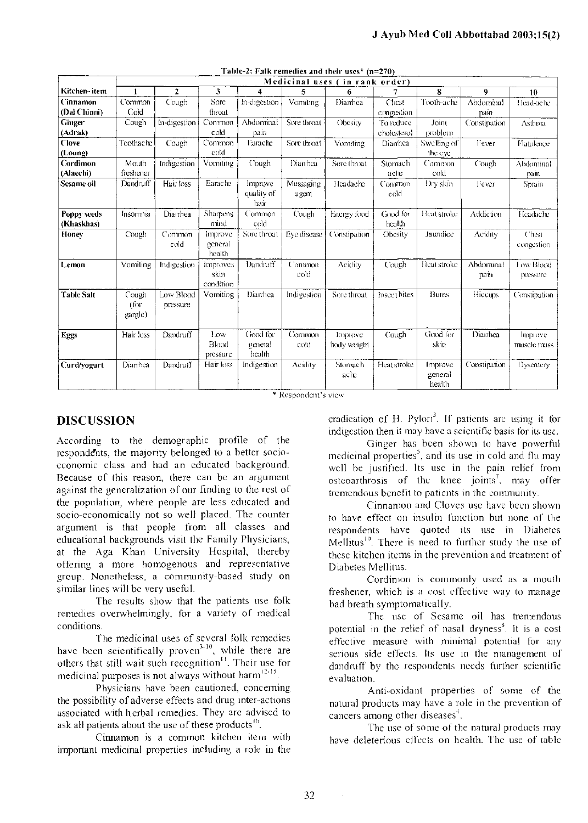|                           | Medicinal uses (<br>in rank order) |                       |                               |                               |                    |                        |                    |                              |                   |                        |
|---------------------------|------------------------------------|-----------------------|-------------------------------|-------------------------------|--------------------|------------------------|--------------------|------------------------------|-------------------|------------------------|
| Kitchen-item              | 1                                  | $\overline{z}$        | 3                             | 4                             |                    | 6                      |                    | 8                            | 9                 | 10                     |
| Cinnamon                  | Common                             | Cough                 | Sore                          | In-digestion                  | Vomiting           | Diamea                 | Chest              | Tooth-ache                   | Abdominal         | Head-ache              |
| (Dal Chinni)              | Cold                               |                       | throat                        |                               |                    |                        | congestion         |                              | pain              |                        |
| <b>Ginger</b>             | Cough                              | In-digestion          | Common                        | Abdominal                     | Sore throat        | Obesity                | To reduce          | Joint                        | Constipation      | Asthma                 |
| (Adrak)                   |                                    |                       | cold                          | pain                          |                    |                        | cholesterol        | problem                      |                   |                        |
| Clove                     | Toothache                          | Cough                 | Common                        | Earache                       | Sore throat        | Vomiting               | Diamhea            | Swelling of                  | Fever             | Flatulence             |
| (Loung)                   |                                    |                       | cold                          |                               |                    |                        |                    | the eye                      |                   |                        |
| Cordimon                  | Mouth                              | Indigestion           | Vomiting                      | Cough                         | Diarrhea           | Sore throat            | Stomach            | Common                       | Cough             | Abdominal              |
| (Alaechi)                 | freshener                          |                       |                               |                               |                    |                        | ache               | cold                         |                   | pain                   |
| Sesame oil                | Dandruff                           | Hair loss             | Earache                       | Improve<br>quality of<br>hair | Massaging<br>agent | Headache               | Common<br>cold     | Dry skin                     | Fever             | Sprain.                |
| Poppy seeds<br>(Khaskhas) | Insomnia                           | Diarrhea              | <b>Sharpens</b><br>mind       | Common<br>cold                | Cough              | Energy food            | Good for<br>health | Heat stroke                  | Addiction         | Headache               |
| Honey                     | Cough                              | Common<br>cold        | Improve<br>general<br>health  | Sore throat                   | Eye disease        | Constipation           | Obesity            | Jaundice.                    | Acidity           | Chest<br>congestion    |
| Lemon                     | Vomting                            | Indigestion           | Improves<br>skin<br>condition | Dandruff                      | Common<br>cold     | Acidity                | Cough              | Heat stroke                  | Abdominal<br>pain | Low Block<br>pressure  |
| Table Salt                | Cough<br>(for<br>gargle)           | Low Blood<br>pressure | Vomiting                      | Diamhea                       | Indigestion        | Sore throat            | Insect bites       | Burns                        | Hiccups           | <b>Constipation</b>    |
| Eggs                      | Hair loss                          | Dandruff              | 10w<br>Blockl<br>pressure     | Good for<br>general<br>health | Common<br>cold     | Improve<br>body weight | Cough              | Good for<br>skin             | Diarrhea          | Improve<br>muscle mass |
| Curd/vogurt               | Diamhea                            | Dandruff              | Hair loss                     | Indigestion                   | Acidity            | Stomach<br>ache        | Heat stroke        | Improve<br>general<br>health | Constipation      | <b>Dysentery</b>       |

#### Table-2: Fnlk remedies and their uses\*  $(n=270)$

\* Respondent's view

### **DISCUSSION**

According to the demographic profile of the respondents, the majority belonged to a better socioeconomic class and had an educated background. Because of this reason, there can be an argument against the generalization of our finding to the rest of the population, where people are less educated and socio-economically not so well placed. The counter argument is that people from all classes and educational backgrounds visit the Family Physicians, at the Aga Khan University Hospital, thereby offering a more homogenous and representative group. Nonetheless, a community-based study on similar lines will be very useful.

The results show that the patients use folk remedies overwhelmingly, for a variety of medical conditions.

The medicinal uses of several folk remedies have been scientifically proven<sup>3-10</sup>, while there are others that still wait such recognition<sup>11</sup>. Their use for medicinal purposes is not always without harm<sup>12-15</sup>.

Physicians have been cautioned, concerning the possibility of adverse effects and drug inter-actions associated with herbal remedies. They are advised to ask all patients about the use of these products<sup>16</sup>.

Cinnamon is a common kitchen item with important medicinal properties including a role in the eradication of H. Pylori<sup>3</sup>. If patients are using it for indigestion then it may have a scientific basis for its use.

Ginger has been shown to have powerful medicinal properties<sup>5</sup>, and its use in cold and flu may well be justified. Its use in the pain relief from osteoarthrosis of the knee joints<sup>7</sup>, may offer tremendous benefit to patients in the community.

Cinnamon and Cloves use have been shown to have effect on insulin function but none of the respondents have quoted its use in Diabetes Mellitus<sup>10</sup>. There is need to further study the use of these kitchen items in the prevention and treatment of Diahetes Mellitus.

Cordimon is commonly used as a mouth freshener, which is a cost effective way to manage bad breath symptomatically.

The use of Sesame oil has tremendous potential in the relief of nasal dryness<sup>8</sup>. It is a cost effective measure with minimal potential for any serious side effects. Its use in the management of dandruff by the respondents needs further scientific evaluation.

Anti-oxidant properties of some of the natural products may have a role in the prevention of cancers among other diseases<sup>4</sup>.

The use of some of the natural products may have deleterious effects on health. The use of table